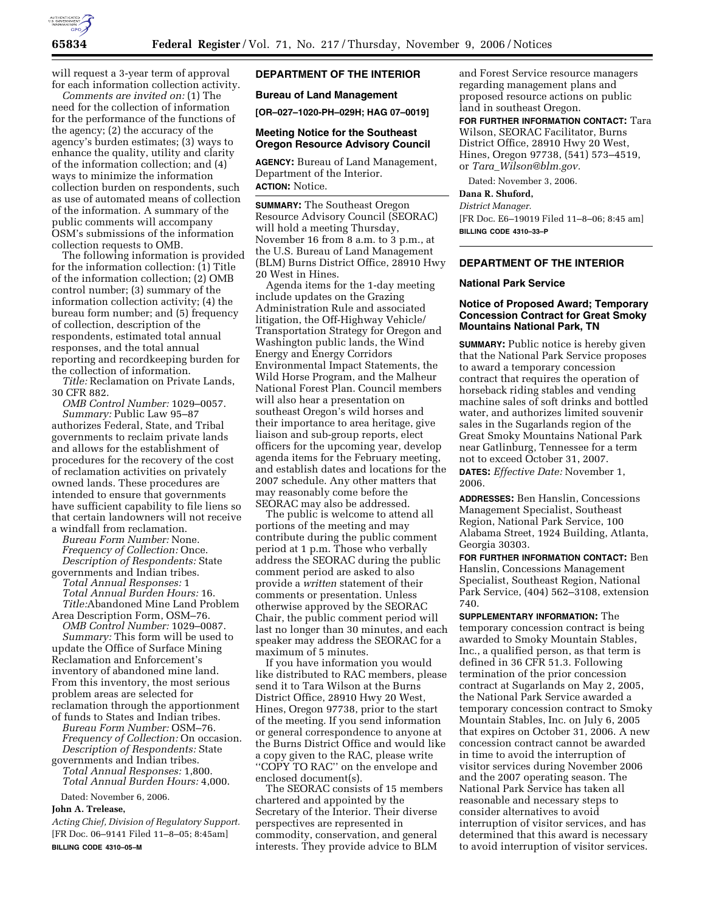

will request a 3-year term of approval for each information collection activity.

*Comments are invited on:* (1) The need for the collection of information for the performance of the functions of the agency; (2) the accuracy of the agency's burden estimates; (3) ways to enhance the quality, utility and clarity of the information collection; and (4) ways to minimize the information collection burden on respondents, such as use of automated means of collection of the information. A summary of the public comments will accompany OSM's submissions of the information collection requests to OMB.

The following information is provided for the information collection: (1) Title of the information collection; (2) OMB control number; (3) summary of the information collection activity; (4) the bureau form number; and (5) frequency of collection, description of the respondents, estimated total annual responses, and the total annual reporting and recordkeeping burden for the collection of information.

*Title:* Reclamation on Private Lands, 30 CFR 882.

*OMB Control Number:* 1029–0057. *Summary:* Public Law 95–87 authorizes Federal, State, and Tribal governments to reclaim private lands and allows for the establishment of procedures for the recovery of the cost of reclamation activities on privately owned lands. These procedures are intended to ensure that governments have sufficient capability to file liens so that certain landowners will not receive a windfall from reclamation.

*Bureau Form Number:* None. *Frequency of Collection:* Once. *Description of Respondents:* State governments and Indian tribes.

*Total Annual Responses:* 1 *Total Annual Burden Hours:* 16. *Title:*Abandoned Mine Land Problem

Area Description Form, OSM–76. *OMB Control Number:* 1029–0087. *Summary:* This form will be used to update the Office of Surface Mining Reclamation and Enforcement's inventory of abandoned mine land. From this inventory, the most serious problem areas are selected for reclamation through the apportionment

of funds to States and Indian tribes. *Bureau Form Number:* OSM–76. *Frequency of Collection:* On occasion. *Description of Respondents:* State

governments and Indian tribes. *Total Annual Responses:* 1,800. *Total Annual Burden Hours:* 4,000. Dated: November 6, 2006.

**John A. Trelease,** 

*Acting Chief, Division of Regulatory Support.*  [FR Doc. 06–9141 Filed 11–8–05; 8:45am] **BILLING CODE 4310–05–M** 

# **DEPARTMENT OF THE INTERIOR**

## **Bureau of Land Management**

**[OR–027–1020-PH–029H; HAG 07–0019]** 

#### **Meeting Notice for the Southeast Oregon Resource Advisory Council**

**AGENCY:** Bureau of Land Management, Department of the Interior. **ACTION:** Notice.

**SUMMARY:** The Southeast Oregon Resource Advisory Council (SEORAC) will hold a meeting Thursday, November 16 from 8 a.m. to 3 p.m., at the U.S. Bureau of Land Management (BLM) Burns District Office, 28910 Hwy 20 West in Hines.

Agenda items for the 1-day meeting include updates on the Grazing Administration Rule and associated litigation, the Off-Highway Vehicle/ Transportation Strategy for Oregon and Washington public lands, the Wind Energy and Energy Corridors Environmental Impact Statements, the Wild Horse Program, and the Malheur National Forest Plan. Council members will also hear a presentation on southeast Oregon's wild horses and their importance to area heritage, give liaison and sub-group reports, elect officers for the upcoming year, develop agenda items for the February meeting, and establish dates and locations for the 2007 schedule. Any other matters that may reasonably come before the SEORAC may also be addressed.

The public is welcome to attend all portions of the meeting and may contribute during the public comment period at 1 p.m. Those who verbally address the SEORAC during the public comment period are asked to also provide a *written* statement of their comments or presentation. Unless otherwise approved by the SEORAC Chair, the public comment period will last no longer than 30 minutes, and each speaker may address the SEORAC for a maximum of 5 minutes.

If you have information you would like distributed to RAC members, please send it to Tara Wilson at the Burns District Office, 28910 Hwy 20 West, Hines, Oregon 97738, prior to the start of the meeting. If you send information or general correspondence to anyone at the Burns District Office and would like a copy given to the RAC, please write ''COPY TO RAC'' on the envelope and enclosed document(s).

The SEORAC consists of 15 members chartered and appointed by the Secretary of the Interior. Their diverse perspectives are represented in commodity, conservation, and general interests. They provide advice to BLM

and Forest Service resource managers regarding management plans and proposed resource actions on public land in southeast Oregon.

**FOR FURTHER INFORMATION CONTACT:** Tara Wilson, SEORAC Facilitator, Burns District Office, 28910 Hwy 20 West, Hines, Oregon 97738, (541) 573–4519, or *Tara*\_*Wilson@blm.gov.* 

Dated: November 3, 2006.

**Dana R. Shuford,** 

*District Manager.*  [FR Doc. E6–19019 Filed 11–8–06; 8:45 am] **BILLING CODE 4310–33–P** 

#### **DEPARTMENT OF THE INTERIOR**

#### **National Park Service**

2006.

## **Notice of Proposed Award; Temporary Concession Contract for Great Smoky Mountains National Park, TN**

**SUMMARY:** Public notice is hereby given that the National Park Service proposes to award a temporary concession contract that requires the operation of horseback riding stables and vending machine sales of soft drinks and bottled water, and authorizes limited souvenir sales in the Sugarlands region of the Great Smoky Mountains National Park near Gatlinburg, Tennessee for a term not to exceed October 31, 2007. **DATES:** *Effective Date:* November 1,

**ADDRESSES:** Ben Hanslin, Concessions Management Specialist, Southeast Region, National Park Service, 100 Alabama Street, 1924 Building, Atlanta, Georgia 30303.

**FOR FURTHER INFORMATION CONTACT:** Ben Hanslin, Concessions Management Specialist, Southeast Region, National Park Service, (404) 562–3108, extension 740.

**SUPPLEMENTARY INFORMATION:** The temporary concession contract is being awarded to Smoky Mountain Stables, Inc., a qualified person, as that term is defined in 36 CFR 51.3. Following termination of the prior concession contract at Sugarlands on May 2, 2005, the National Park Service awarded a temporary concession contract to Smoky Mountain Stables, Inc. on July 6, 2005 that expires on October 31, 2006. A new concession contract cannot be awarded in time to avoid the interruption of visitor services during November 2006 and the 2007 operating season. The National Park Service has taken all reasonable and necessary steps to consider alternatives to avoid interruption of visitor services, and has determined that this award is necessary to avoid interruption of visitor services.